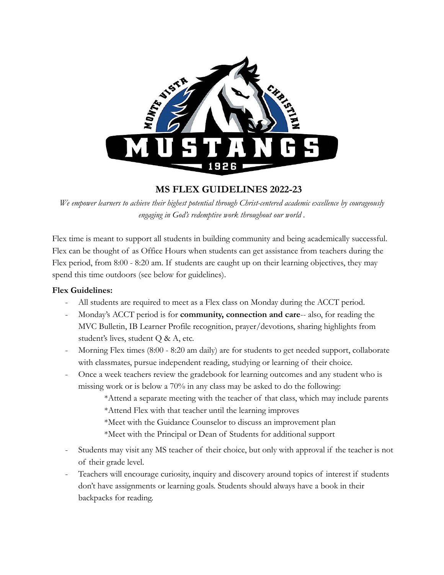

## **MS FLEX GUIDELINES 2022-23**

*We empower learners to achieve their highest potential through Christ-centered academic excellence by courageously engaging in God's redemptive work throughout our world .*

Flex time is meant to support all students in building community and being academically successful. Flex can be thought of as Office Hours when students can get assistance from teachers during the Flex period, from 8:00 - 8:20 am. If students are caught up on their learning objectives, they may spend this time outdoors (see below for guidelines).

## **Flex Guidelines:**

- All students are required to meet as a Flex class on Monday during the ACCT period.
- Monday's ACCT period is for **community, connection and care**-- also, for reading the MVC Bulletin, IB Learner Profile recognition, prayer/devotions, sharing highlights from student's lives, student Q & A, etc.
- Morning Flex times (8:00 8:20 am daily) are for students to get needed support, collaborate with classmates, pursue independent reading, studying or learning of their choice.
- Once a week teachers review the gradebook for learning outcomes and any student who is missing work or is below a 70% in any class may be asked to do the following:

\*Attend a separate meeting with the teacher of that class, which may include parents \*Attend Flex with that teacher until the learning improves \*Meet with the Guidance Counselor to discuss an improvement plan \*Meet with the Principal or Dean of Students for additional support

- Students may visit any MS teacher of their choice, but only with approval if the teacher is not of their grade level.
- Teachers will encourage curiosity, inquiry and discovery around topics of interest if students don't have assignments or learning goals. Students should always have a book in their backpacks for reading.